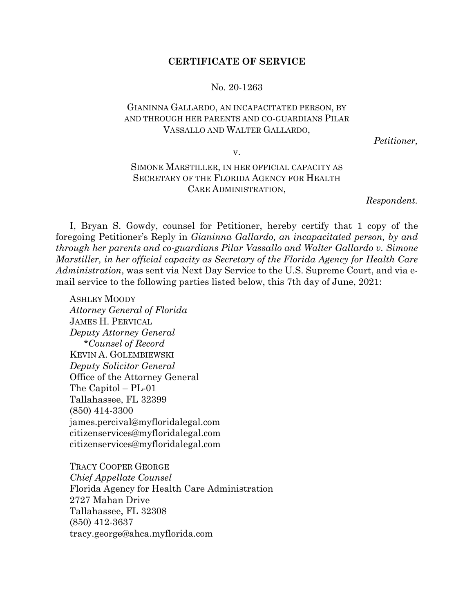## **CERTIFICATE OF SERVICE**

## No. 20-1263

## GIANINNA GALLARDO, AN INCAPACITATED PERSON, BY AND THROUGH HER PARENTS AND CO-GUARDIANS PILAR VASSALLO AND WALTER GALLARDO,

*Petitioner,*

v.

## SIMONE MARSTILLER, IN HER OFFICIAL CAPACITY AS SECRETARY OF THE FLORIDA AGENCY FOR HEALTH CARE ADMINISTRATION,

*Respondent.*

I, Bryan S. Gowdy, counsel for Petitioner, hereby certify that 1 copy of the foregoing Petitioner's Reply in *Gianinna Gallardo, an incapacitated person, by and through her parents and co-guardians Pilar Vassallo and Walter Gallardo v. Simone Marstiller, in her official capacity as Secretary of the Florida Agency for Health Care Administration*, was sent via Next Day Service to the U.S. Supreme Court, and via email service to the following parties listed below, this 7th day of June, 2021:

ASHLEY MOODY *Attorney General of Florida* JAMES H. PERVICAL *Deputy Attorney General \*Counsel of Record* KEVIN A. GOLEMBIEWSKI *Deputy Solicitor General* Office of the Attorney General The Capitol – PL-01 Tallahassee, FL 32399 (850) 414-3300 james.percival@myfloridalegal.com citizenservices@myfloridalegal.com citizenservices@myfloridalegal.com

TRACY COOPER GEORGE *Chief Appellate Counsel* Florida Agency for Health Care Administration 2727 Mahan Drive Tallahassee, FL 32308 (850) 412-3637 tracy.george@ahca.myflorida.com